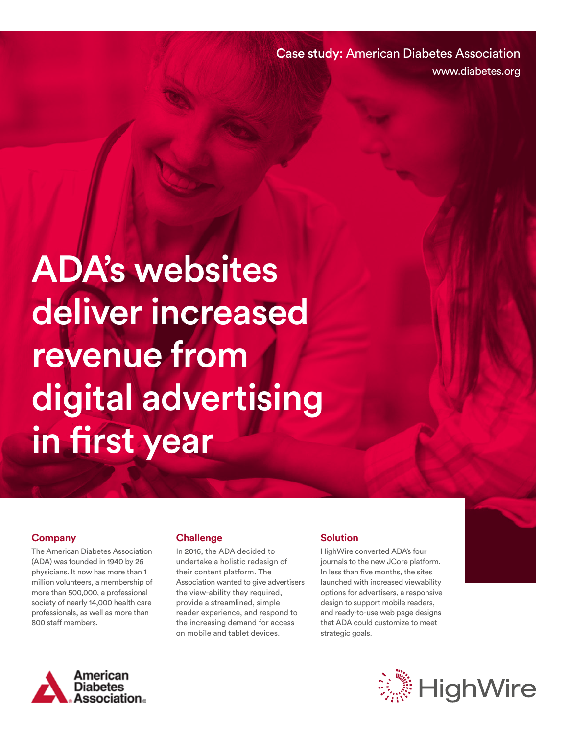Case study: American Diabetes Association www.diabetes.org

# ADA's websites deliver increased revenue from digital advertising in first year

#### **Company**

The American Diabetes Association (ADA) was founded in 1940 by 26 physicians. It now has more than 1 million volunteers, a membership of more than 500,000, a professional society of nearly 14,000 health care professionals, as well as more than 800 staff members.

#### **Challenge**

In 2016, the ADA decided to undertake a holistic redesign of their content platform. The Association wanted to give advertisers the view-ability they required, provide a streamlined, simple reader experience, and respond to the increasing demand for access on mobile and tablet devices.

### **Solution**

HighWire converted ADA's four journals to the new JCore platform. In less than five months, the sites launched with increased viewability options for advertisers, a responsive design to support mobile readers, and ready-to-use web page designs that ADA could customize to meet strategic goals.